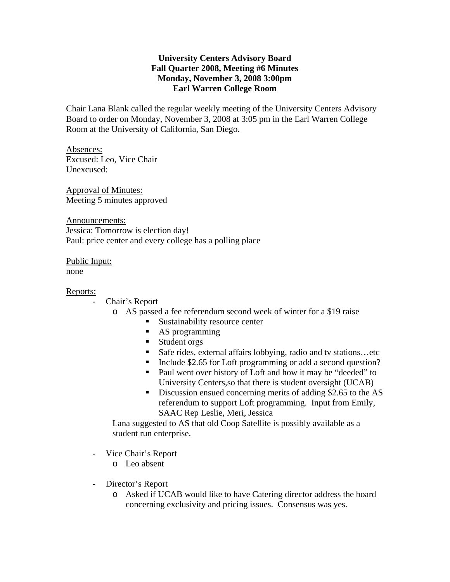## **University Centers Advisory Board Fall Quarter 2008, Meeting #6 Minutes Monday, November 3, 2008 3:00pm Earl Warren College Room**

Chair Lana Blank called the regular weekly meeting of the University Centers Advisory Board to order on Monday, November 3, 2008 at 3:05 pm in the Earl Warren College Room at the University of California, San Diego.

Absences: Excused: Leo, Vice Chair Unexcused:

Approval of Minutes: Meeting 5 minutes approved

Announcements: Jessica: Tomorrow is election day! Paul: price center and every college has a polling place

Public Input: none

## Reports:

- Chair's Report
	- o AS passed a fee referendum second week of winter for a \$19 raise
		- Sustainability resource center
		- AS programming
		- **Student orgs**
		- Safe rides, external affairs lobbying, radio and tv stations...etc
		- Include \$2.65 for Loft programming or add a second question?
		- Paul went over history of Loft and how it may be "deeded" to University Centers,so that there is student oversight (UCAB)
		- Discussion ensued concerning merits of adding \$2.65 to the AS referendum to support Loft programming. Input from Emily, SAAC Rep Leslie, Meri, Jessica

Lana suggested to AS that old Coop Satellite is possibly available as a student run enterprise.

- Vice Chair's Report
	- o Leo absent
- Director's Report
	- o Asked if UCAB would like to have Catering director address the board concerning exclusivity and pricing issues. Consensus was yes.